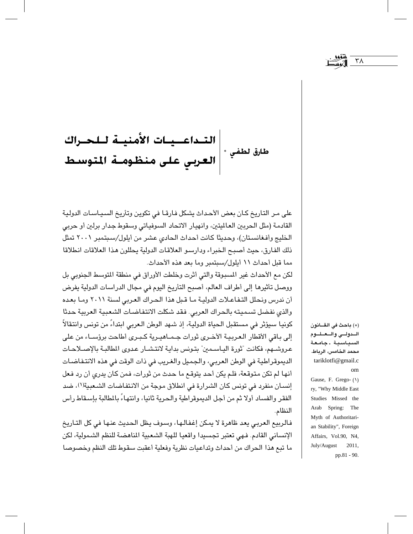## | التــداعــيــات الأمنيــة لــلحــراك<br>|<br>| الـعـربـي عـلـى منظـومــة المتوسـط طارق لطفي \* |

على مـر التاريخ كـان بعض الأحـداث يشكل فـارقـا في تكوين وتأريخ السـيـاسـات الدولية القادمة (مثل الحربين العالميتين، وانهيار الاتحاد السوفياتي وسقوط جدار برلين أو حربي الخليج وأفغانستان)، وحديثًا كانت أحداث الحادي عشر من أيلول/سبتمبر ٢٠٠١ تمثل ذلك الفارق، حيث أصبح الخبراء ودارسو العلاقات الدولية يحللون هذا العلاقات انطلاقا مما قبل أحداث ١١ أيلول/سبتمبر وما بعد هذه الأحداث.

لكن مع الأحداث غير المسبوقة والتي أثرت وخلطت الأوراق في منطقة المتوسط الجنوبي بل ووصل تأثيرها إلى أطراف العالم، أصبح التأريخ اليوم في مجال الدراسات الدولية يفرض أن ندرس ونحلل التفاعلات الدولية ما قبل هذا الحراك العربي لسنة ٢٠١١ وما بعده والذي نفضل تسميته بالحراك العربي. فقد شكلت الانتفاضات الشعبية العربية حدثا كونيا سيؤثر في مستقبل الحياة الدولية، إذ شهد الوطن الـعربي ابتداءً من تونس وانتقالاً إلى باقى الأقطار العربية الأخرى ثورات جماهيرية كبرى أطاحت برؤساء من على عروشـهم، فكانت "ثورة اليـاسـمين" بتـونس بداية لانتـشـار عـدوى المطالبـة بالإصــلاحـات الديموقراطية في الوطن العربي، والجميل والغريب في ذات الوقت في هذه الانتفاضات أنها لم تكن متوقعة، فلم يكن أحد يتوقع ما حدث من ثورات، فمن كان يدري أن رد فعل إنسان منفرد في تونس كان الشرارة في انطلاق موجة من الانتفاضات الشعبية(١)، ضد الفقر والفساد أولا ثم من أجل الديموقراطية والحرية ثانيا، وانتهاءً بالمطالبة بإسقاط رأس النظام.

فالربيع العربي يعد ظاهرة لا يمكن إغفالها، وسوف يظل الحديث عنها في كل التـاريخ الإنساني القادم. فـهي تعتبر تجسيدا واقعيا للهبة الشعبية المناهضة للنظم الشـمولية، لكن ما تبع هذا الحراك من أحداث وتداعيات نظرية وفعلية أعقبت سقوط تلك النظم وخصوصا

(\*) باحث في القــانون السدولتى والتعتليوم السىياسىية . جامعة محمد الخامس، الرباط. tariklotfi@gmail.c om

٣٨

Gause, F. Grego- (1) ry, "Why Middle East Studies Missed the Arab Spring: The Myth of Authoritarian Stability", Foreign Affairs, Vol.90, N4, July/August 2011, pp.81 - 90.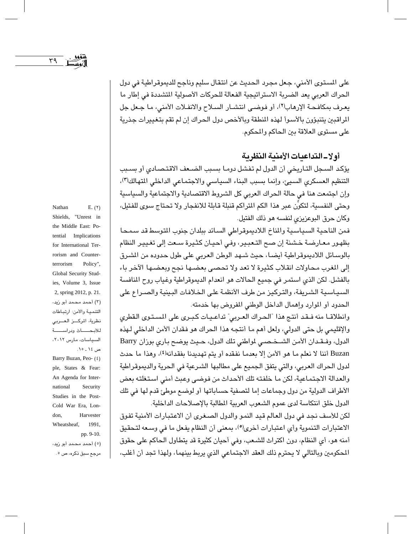$\Upsilon$ 

على المستوى الأمنى، جعل مجرد الحديث عن انتقال سليم وناجح للديموقراطية في دول الحراك العربي يعد الضربة الاستراتيجية الفعالة للحركات الأصولية المتشددة في إطار ما يعرف بمكافحة الإرهاب(٢)، أو فوضـي انتشـار السـلاح والانفـلات الأمنى، مـا جـعل جل المراقبين يتنبؤون بالأسوأ لهذه المنطقة وبالأخص دول الحراك إن لم تقم بتغييرات جذرية على مستوى العلاقة بين الحاكم والمحكوم.

## أولا\_التداعيات الأمنية النظرية

يؤكد السجل التاريخي أن الدول لم تفشل دوما بسبب الضعف الاقتصادي أو بسبب التنظيم العسكري السيئ، وإنما بسبب البناء السياسي والاجتماعي الداخلي المتهالك(٣)، وإن اجتمعت هنا في حالة الحراك العربي كل الشروط الاقتصادية والاجتماعية والسياسية وحتى النفسية، لتكوِّن عبر هذا الكم التراكم قنبلة قابلة للانفجار ولا تحتاج سوى للفتيل، وكان حرق البوعزيزي لنفسه هو ذلك الفتيل.

فمن الناحية السياسية والمناخ اللاديموقراطي السائد ببلدان جنوب المتوسط قد سمحا بظهور معارضة خشنة إن صح التعبير، وفي أحيان كثيرة سعت إلى تغيير النظام بالوسـائل اللاديموقراطية أيضـا، حيث شـهد الوطن العربى على طول حدوده من المشرق إلى المغرب محاولات انقلاب كثيرة لا تعد ولا تحصى بعضها نجح وبعضها الآخر باء بالفشل. لكن الذي استمر في جميع الحالات هو انعدام الديموقراطية وغياب روح المنافسة السياسية الشريفة، والتركيز من طرف الأنظمة على الخلافات البينية والصراع على الحدود أو الموارد وإهمال الداخل الوطني المفروض بها خدمته.

وانطلاقا منه فقد أنتج هذا "الحراك العربي" تداعيات كبرى على المستوى القطرى والإقليمي بل حتى الدولي، ولعل أهم ما أنتجه هذا الحراك هو فقدان الأمن الداخلي لـهذه الدول، وفـقـدان الأمن الشـخـصـي لمواطني تلك الدول، حـيث يوضـح بـاري بوران Barry Buzan أننا لا نعلم ما هو الأمن إلا بعدما نفقده أو يتم تهديدنا بفقدانه(٤)، وهذا ما حدث لدول الحراك العربي، والتي يتفق الجميع على مطالبها الشرعية في الحرية والديموقراطية والعدالة الاجتماعية، لكن ما خلفته تلك الأحداث من فوضى وعبث أمنى استغلته بعض الأطراف الدولية من دول وجماعات إما لتصفية حساباتها أو لوضىع موطئ قدم لها في تلك الدول خلق انتكاسة لدى عموم الشعوب العربية المطالبة بالإصلاحات الداخلية.

لكن للأسف نجد في دول العالم قيد النمو والدول الصغرى أن الاعتبارات الأمنية تفوق الاعتبارات التنموية وأي اعتبارات أخرى<sup>(0</sup>)، بمعنى أن النظام يفعل ما في وسعه لتحقيق أمنه هو، أي النظام، دون اكتراث للشـعب، وفي أحيان كثيرة قد يتطاول الـحاكم على حقوق المحكومين وبالتالي لا يحترم ذلك العقد الاجتماعي الذي يربط بينهما، ولهذا تجد أن أغلب،

Nathan  $E. (Y)$ Shields, "Unrest in the Middle East: Potential Implications for International Terrorism and Counter-Policy", terrorism Global Security Studies, Volume 3, Issue 2, spring 2012, p. 21. (۳) أحمد محمد أبو زبد، التنمية والأمن: ارتباطات نظرية، المركسز العسربي للأبحساث ودراسسة السياسات، مارس ٢٠١٢، ص ١٤ ـ ١٥.

Barry Buzan, Peo- (٤) ple, States & Fear: An Agenda for International Security Studies in the Post-Cold War Era, London, Harvester Wheatsheaf, 1991,

pp. 9-10.

(٥) أحمد محمد أبو زيد، مرجع سبق ذکرہ، ص ٥ .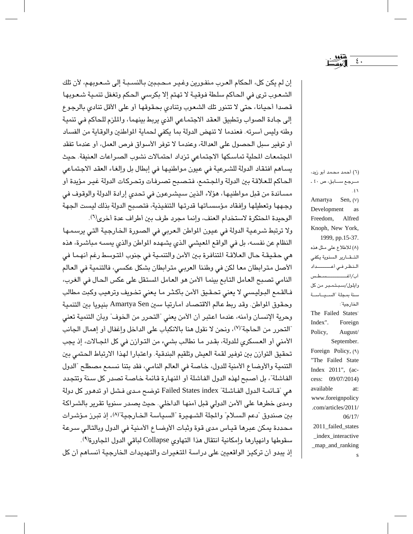إن لم يكن كل، الحكام العرب منفـورين وغـيـر مـحـبـبين بـالنسـبـة إلى شـعـوبـهـم، لأن تلك الشعوب ترى في الحاكم سلطة فوقية لا تهتم إلا بكرسي الحكم وتغفل تنمية شعوبها قصدا أحيانا، حتى لا تتنور تك الشعوب وتنادى بحقوقها أو على الأقل تنادى بالرجوع إلى جادة الصواب وتطبيق العقد الاجتماعي الذي يربط بينهما، والملزم للحاكم في تنمية وطنه وليس أسرته. فعندما لا تنهض الدولة بما يكفى لحماية المواطنين والوقاية من الفساد أو توفير سبل الحصول على العدالة، وعندما لا توفر الأسواق فرص العمل، أو عندما تفقد الجتمعات المطية تماسكها الاجتماعي تزداد احتمالات نشوب الصراعات العنيفة. حيث يساهم افتقاد الدولة للشرعية في عيون مواطنيها في إبطال بل وإلغاء العقد الاجتماعي الحاكم للعلاقة بين الدولة والمجتمع، فتصبح تصرفات وتحركات الدولة غير مؤيدة أو مسـاندة من قبل مواطنيها، هؤلاء الذين سـيشـرعون في تحدى إرادة الدولة والوقوف في وجهها وتعطيلها وإفقاد مؤسساتها قدرتها التنفيذية، فتصبح الدولة بذلك ليست الجهة الوحيدة المحتكرة لاستخدام العنف، وإنما مجرد طرف بين أطراف عدة أخرى<sup>(٦</sup>).

ولا ترتبط شرعية الدولة في عيون المواطن العربي في الصورة الخارجية التي يرسمها النظام عن نفسه، بل في الواقع المعيشي الذي يشهده المواطن والذي يمسه مباشرة، هذه مى حقيقة حال العلاقة المتنافرة بين الأمن والتنمية في جنوب المتوسط رغم أنهما في الأصل مترابطان معا لكن في وطننا العربي مترابطان بشكل عكسي، فالتنمية في العالم النامي تصبح العامل التابع بينما الأمن هو العامل المستقل على عكس الحال في الغرب، فـالقمع البوليسي لا يعني تحـقيق الأمن بأكـثـر مـا يعني تخـويف وترهيب وكبت مطالب وحقوق المواطن. وقد ربط عالم الاقتصاد أمارتيا سين Amartya Sen بنيويا بين التنمية وحرية الإنسـان وأمنه، عندما اعتبر أن الأمن يعني "التحرر من الخوف" وبأن التنمية تعني "التحرر من الحاجة"(٧)، ونحن لا نقول هنا بالانكباب على الداخل وإغفال أو إهمال الجانب الأمني أو العسكري للدولة، بقدر ما نطالب بشيء من التوازن في كل المجالات، إذ يجب تحقيق التوازن بين توفير لقمة العيش وتلقيم البندقية. واعتبارا لهذا الارتباط الحتمى بين التنمية والأوضاع الأمنية للدول، خاصة في العالم النامي، فقد بتنا نسمع مصطلح "الدول الفاشلة"، بل أصبح لهذه الدول الفاشلة أو المنهارة قائمة خاصة تصدر كل سنة وتتجدد هي "قـائمـة الـدول الفـاشـلة" Failed States index توضـع مـدي فـشل أو تدهـور كل دولة ومدى خطرها على الأمن الدولي قبل أمنها الداخلي. حيث يصدر سنويا تقرير بالشراكة بين صندوق "دعم السـلام" والمجلة الشـهـيرة "السـياسـة الـضارجـية"(^)، إذ تبرز مـؤشـرات محددة يمكن عبرها قياس مدى قوة وثبات الأوضاع الأمنية في الدول وبالتالي سرعة سقوطها وانهيارها وإمكانية انتقال هذا التهاوى Collapse لباقى الدول المجاورة(٩). إذ بيدو أن تركيز الواقعيين على دراسة المتغيرات والتهديدات الخارجية أنساهم أن كل

(٦) أحمد محمد أبو زيد، مــرجـع ســـابق، ص ٤٠ ـ  $.51$ Amartya Sen, (V) Development as Freedom, Alfred Knoph, New York, 1999, pp.15-37. (٨) للاطلاع على مثل هذه التقارير السنوية يكفى النظرفي أعساداد وايلول/سبتمبر من كل سنة بمجلة السيهاسة الخارجية": The Failed States" Index". Foreign August/ Policy, September. Foreign Policy, (9) "The Failed State Index 2011", (access: 09/07/2014) available at: www.foreignpolicy .com/articles/2011/  $06/17/$ 2011\_failed\_states index interactive \_map\_and\_ranking

 $\mathbf{\hat{z}}$  .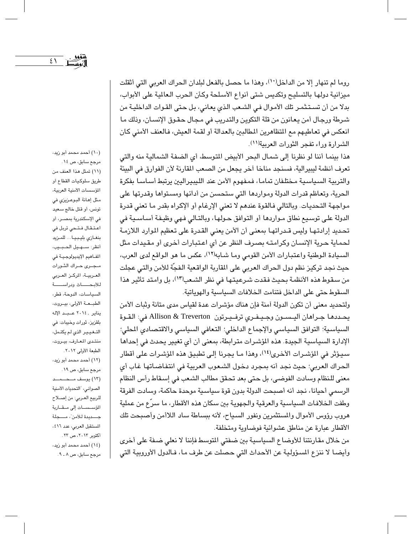31 亡

(١٠) أحمد محمد أبو زيد،

روما لم تنهار إلا من الداخل(١٠)، وهذا ما حصل بالفعل لبلدان الحراك العربي التي أثقلت ميزانية دولها بالتسليح وتكديس شتى أنواع الأسلحة وكأن الحرب العالمية على الأبواب، بدلا من أن تسـتـثمـر تلك الأمـوال فـي الشـعب الـذي يعـاني، بـل حـتى القـوات الداخليـة من شرطة ورجال أمن يعانون من قلة التكوين والتدريب في مجال حقوق الإنسان، وذلك ما انعكس في تعاطيهم مع المتظاهرين المطالبين بالعدالة أو لقمة العيش، فالعنف الأمني كان الشرارة وراء تفجر الثورات العربية(١١).

هذا بينما أننا لو نظرنا إلى شمال البحر الأبيض المتوسط، أي الضفة الشمالية منه والتي تعرف أنظمة ليبيرالية، فسنجد مناخا آخر يجعل من الصعب المقارنة لأن الفوارق في البيئة والتربية السياسية مختلفان تماما، فمفهوم الأمن عند الليبيراليين يرتبط أساسا بفكرة الحرية، وتعاظم قدرات الدولة ومواردها التي ستحسن من أدائها ومستواها وقدرتها على مواجهة التحديات. وبالتالي فالقوة عندهم لا تعني الإرغام أو الإكراه بقدر ما تعني قدرة الدولة على توسيع نطاق مـواردها أو التوافق حـولها، وبالتـالي فـهي وظيـفـة أسـاسـيـة في تحديد إرادتها وليس قـدراتهـا بمعنى أن الأمن يعني القـدرة على تعظيم الموارد اللازمـة لحماية حرية الإنسان وكرامته بصرف النظر عن أي اعتبارات أخرى أو مقيدات مثل السيادة الوطنية واعتبارات الأمن القومي وما شابه(١٢)، عكس ما هو الواقع لدى العرب، حيث نجد تركيز نظم دول الحراك العربي على المقاربة الواقعية الـفجّة للأمن والتي عجلت من سقوط هذه الأنظمة بحيث فقدت شرعيتها في نظر الشعب(١٣)، بل وامتد تأثير هذا السقوط حتى على الداخل فتنامت الخلافات السياسية والهوياتية.

ولتحديد معنى أن تكون الدولة أمنة فإن هناك مؤشرات عدة لقياس مدى متانة وثبات الأمن يحددها جراهان اليسون وجيفري ترفيرتون Allison & Treverton في: القوة السياسية؛ التوافق السياسي والإجماع الداخلي؛ التعافي السياسي والاقتصادي المحلي؛ الإدارة السياسية الجيدة. هذه المؤشرات مترابطة، بمعنى أن أي تغيير يحدث في إحداها سيؤثر في المؤشرات الأخرى(١٤)، وهذا مـا يجرنا إلى تطبيق هذه المؤشرات على أقطار الحراك العربي؛ حيث نجد أنه بمجرد دخول الشعوب العربية في انتفاضاتها غاب أي معنى للنظام وسادت الفوضى، بل حتى بعد تحقق مطالب الشعب في إسقاط رأس النظام الرسمي أحيانا، نجد أنه أصبحت الدولة بدون قوة سياسية موحدة حاكمة، وسادت الفرقة وطفت الخلافات السياسية والعرقية والجهوية بين سكان هذه الأقطار، ما سرِّع من عملية هروب رؤوس الأموال والمستثمرين ونفور السبياح، لأنه ببساطة ساد اللاأمن وأصبحت تلك الأقطار عبارة عن مناطق عشوائية فوضاوية ومتخلفة.

من خلال مقارنتنا للأوضاع السياسية بين ضفتي المتوسط فإننا لا نعلى ضفة على أخرى وأيضا لا ننزع المسؤولية عن الأحداث التي حصلت عن طرف ما، فـالدول الأوروبية التي

مرجع سابق، ص ١٤. (١١) تمثل هذا العنف من طريق سلوكيات القطاع أو المؤسسات الأمنية العربية، مثل إهانة البوعزيزي في تونس، أو قتل خالج سعيد في الإسكندرية بمصــر، أو اعتقال فتحي تربل في بنغازي بليبيا... للمزيد أنظر: سهيل الحبيب، المفاهيم الإيديولوجيـة في مجرى حراك الثورات العربيــة، الركــز العــربي للأبحساث ودراسسة السياسات، الدوحة، قطر، الطبعة الأولى، بيروت، يناير , ٢٠١٤ عـبـد الإله بلقزيز، ثورات وخيبات: في التغيير الذي لم يكتمل، منتدى المعارف، بيروت، الطبعة الأولى ٢٠١٢. (١٢) أحمد محمد أبو زيد، مرجع سابق، ص ۱۹ . الصواني، "التحديات الأمنية للربيع العربي: من إصلاح المؤسسات إلى مقاربة جسديدة للأمن"، مسجلة المستقبل العربي، عدد ٤١٦، أكتوبر ٢٠١٢، ص ٢٣. (١٤) أحمد محمد أبو زيد، مرجع سابق، ص ٨ ـ ٩.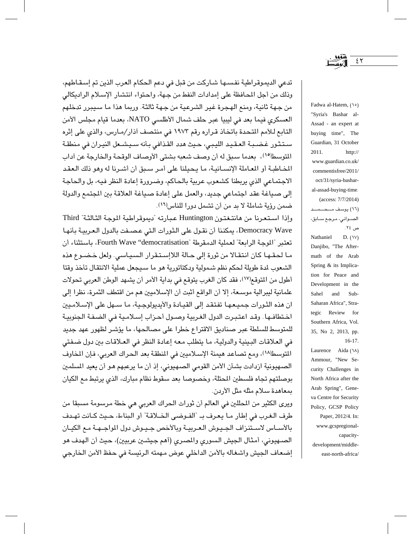تدعى الديموقراطية نفسـها شـاركت من قبل في دعم الحكام العرب الذين تم إسـقـاطهم، وذلك من أجل المحافظة على إمدادات النفط من جهة، واحتواء انتشار الإسلام الراديكالي من جـهة ثانية، ومنع الهجرة غير الشرعية من جـهة ثالثة. وربما هذا ما سـيبرر تدخلهم العسكري فيما بعد في ليبيا عبر حلف شمال الأطلسي NATO، بعدما قيام مجلس الأمن التابع للأمم المتحدة باتخاذ قراره رقم ١٩٧٢ في منتصف أذار/مارس، والذي على إثره ستثور غضبة العقيد الليبي، حيث هدد القذافي بأنه سيشعل النيران في منطقة المتوسط(١٥)، بعدما سبق له أن وصف شعبه بشتى الأوصاف الوقحة والخارجة عن أداب المُخاطبة أو المعاملة الإنسـانيـة، ما يـحيلنا على أمـر سـبق أن أشـرنا له وهو ذلك الـعقـد الاجتماعي الذي يربطنا كشعوب عربية بالحاكم، وضرورة إعادة النظر فيه، بل والحاجة إلى صياغة عقد اجتماعي جديد، والعمل على إعادة صياغة العلاقة بين المجتمع والدولة ضمن رؤية شاملة لا بد من أن تشمل دورا للناس(١٦).

وإذا استعرنا من هانتغتون Huntington عبارته "ديموقراطية الموجة الثالثة" Third Democracy Wave، يمكننا أن نقول على الثورات التي عصفت بالدول العربية بأنها تعتبر "الموجة الرابعة" لعملية الدمقرطة "Fourth Wave "democratisation، باستثناء أن ما لحقها كان انتقالا من ثورة إلى حالة اللاإستقرار السياسي. ولعل خضوع هذه الشعوب لدة طويلة لحكم نظم شـمولية ودكتاتورية هو ما سـيجعل عملية الانتقال تأخذ وقتا أطول من المتوقع(١٧)، فقد كان الغرب يتوقع في بداية الأمر أن يشهد الوطن العربي تحولات علمانية ليبرالية موسعة، إلا أن الواقع أثبت أن الإسلاميين هم من اقتطف الثمرة، نظرا إلى ان هذه الثورات جميعها تفتقد إلى القيادة والأبدبولوجية، ما سـهل على الإسـلامـين اختطافها. وقد اعتبرت الدول الغربية وصول أحزاب إسلامية في الضفة الجنوبية للمتوسط للسلطة عبر صناديق الاقتراع خطرا على مصالحها، ما يؤشر لظهور عهد جديد في العلاقات البينية والدولية، ما يتطلب معه إعادة النظر في العـلاقات بين دول ضـفتي المتوسط(١٨)، ومع تصاعد هيمنة الإسلاميين في المنطقة بعد الحراك العربي، فإن المخاوف الصهيونية ازدادت بشأن الأمن القومي الصهيوني، إذ أن ما يرعبهم هو أن يعيد المسلمين بوصلتهم تجاه فلسطين المحتلة، وخصوصا بعد سقوط نظام مبارك، الذي يرتبط مع الكيان بمعاهدة سلام مثله مثل الأردن.

ويرى الكثير من المحللين في العالم أن ثورات الحراك العربي هي خطة مرسومة مسبقا من طرف الغرب في إطار ما يعرف بـ "الفـوضى الخـلاقـة" أو البناءة، حـيث كـانت تهـدف بالأســاس لاســتنزاف الجـيـوش الـعـربيــة وبالأخص جـيـوش دول المواجــهـة مـع الكيــان الصـهيوني، أمثال الـجيش السوري والمصري (أهم جيشـين عربيين)، حيث أن الـهدف هو إضعاف الجيش واشغاله بالأمن الداخلي عوض مهمته الرئيسة في حفظ الأمن الخارجي

Fadwa al-Hatem, (10) "Syria's Bashar al-Assad - an expert at buying time", The Guardian, 31 October 2011  $http://$ www.guardian.co.uk/ commentisfree/2011/ oct/31/syria-basharal-assad-buying-time (access: 7/7/2014) (١٦) يوسف مــحــمــد الصــوانى، مـرجـع ســابق، ص ٢٤. Nathaniel  $D. (W)$ Danjibo, "The Aftermath of the Arab Spring & its Implication for Peace and Development in the Sahel and Sub-Saharan Africa", Strategic Review for Southern Africa, Vol. 35, No 2, 2013, pp.  $16-17.$ Laurence Aida (\A) Ammour, "New Security Challenges in North Africa after the Arab Spring", Gene-

va Centre for Security

Policy, GCSP Policy

Paper, 2012/4. In:

www.gcspregional-

development/middle-

east-north-africa/

capacity-

٤٢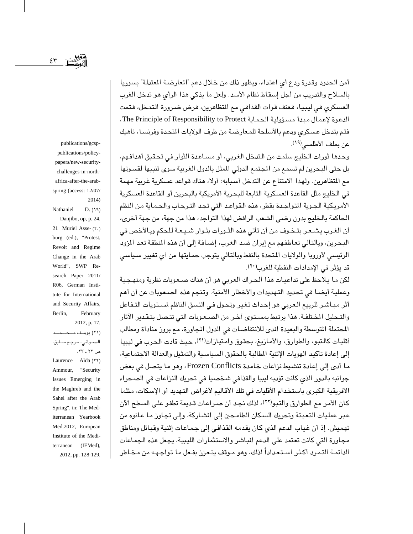publications/gcsp-

publications/policy-

أمن الحدود وقدرة ردع أي اعتداء، ويظهر ذلك من خلال دعم "المعارضة المعتدلة" بسوريا بالسلاح والتدريب من أجل إسقاط نظام الأسد. ولعل ما يذكي هذا الرأى هو تدخل الغرب العسكري في ليبيا، فعنف قوات القذافي مع المتظاهرين، فرض ضرورة التدخل، فتمت الدعوة لإعمال مبدأ مسؤولية الحماية The Principle of Responsibility to Protect، فتم بتدخل عسكري ودعم بالأسلحة للمعارضة من طرف الولايات المتحدة وفرنسا، ناهيك عن بملف الأطلسي(١٩).

وحدها ثورات الخليج سلمت من التدخل الغربي، أو مساعدة الثوار في تحقيق أهدافهم، بل حتى البحرين لم تسمع من المجتمع الدولي المثل بالدول الغربية سوى تنبيها لقسوتها مع المتظاهرين. ولهذا الامتناع عن التدخل أسبابه: أولا، هناك قواعد عسكرية غربية مهمة في الخليج مثل القاعدة العسكرية التابعة للبحرية الأمريكية بالبحرين أو القاعدة العسكرية الأمريكية الجوية المتواجدة بقطر، هذه القواعد التي تجد الترحاب والحماية من النظم الحاكمة بالخليج بدون رضي الشعب الرافض لهذا التواجد، هذا من جهة، من جهة أخرى، أن الغرب يشـعـر بتـخـوف من أن تأتى هذه الثـورات بثـوار شـيـعـة لـلـحكم وبـالأخص فى البحرين، وبالتالي تعاطفهم مع إيران ضد الغرب، إضـافة إلى أن هذه المنطقة تعد المزود الرئيسي لأوروبا والولايات المتحدة بالنفط وبالتالي يتوجب حمايتها من أي تغيير سياسي قد يؤثر في الإمدادات النفطية للغرب(٢٠).

لكن ما يلاحظ على تداعيات هذا الحراك العربي هو أن هناك صـعوبات نظرية ومنهـجية وعملية أيضـا في تحديد التـهديدات والأخطار الأمنية. وتنجم هذه الصـعـوبات عن أن أهم أثر مبـاشـر للربيع الـعربي هو إحداث تـغير وتحول فـي النسق الناظم لسـتويات التـفـاعل والتـحليل المـختلفـة. هذا يرتبط بمسـتوى اَخـر من الصـعـوبات التي تتـصل بتـقـدير الآثار المحتملة المتوسطة والبعيدة المدى للانتفاضات في الدول المجاورة، مع بروز مناداة ومطالب أقليات كالتبو، والطوارق، والأمازيغ، بحقوق وامتيازات(٢١)، حيث قادت الحرب في ليبيا إلى إعادة تأكيد الهويات الإثنية المطالبة بالحقوق السياسية والتمثيل والعدالة الاجتماعية، ما أدى إلى إعادة تنشيط نزاعات خامدة Frozen Conflicts، وهو ما يتصل في بعض جوانبه بالدور الذي كانت تؤديه ليبيا والقذافي شخصيا في تحريك النزاعات في الصحراء الافريقية الكبرى باستخدام الأقليات في تلك الأقاليم لأغراض التهديد أو الإسكات، مثلما كان الأمر مع الطوارق والتبو(٢٢)، لذلك نجد أن صراعات قديمة تطفو على السطح الآن عبر عمليات التعبئة وتحريك السكان الطامحين إلى الشـاركة، وإلى تجاوز ما عانوه من تهميش. إذ أن غياب الدعم الذي كان يقدمه القذافي إلى جماعات إثنية وقبائل ومناطق مجاورة التي كانت تعتمد على الدعم المباشر والاستثمارات الليبية، يجعل هذه الجماعات الدائمـة التـمـرد أكـثـر اسـتـعـداداً لذلك، وهو مـوقف يتـعـزز بفـعل مـا تـواجـهـه من مـخـاطر

papers/new-securitychallenges-in-northafrica-after-the-arabspring (access: 12/07/  $2014)$  $D. (19)$ Nathaniel Danjibo, op, p. 24. 21 Muriel Asse- (٢٠) burg (ed.), "Protest, Revolt and Regime Change in the Arab World", SWP Research Paper 2011/ R06, German Institute for International and Security Affairs, Berlin. February 2012, p. 17. (٢١) يوسف مــحـــمــد الصــوانى، مـرجـع ســابق، ص ۲۲ ـ ۲۳. Laurence Aïda (٢٢) "Security Ammour. Issues Emerging in the Maghreb and the Sahel after the Arab Spring", in: The Mediterranean Yearbook Med.2012, European Institute of the Mediterranean (IEMed), 2012, pp. 128-129.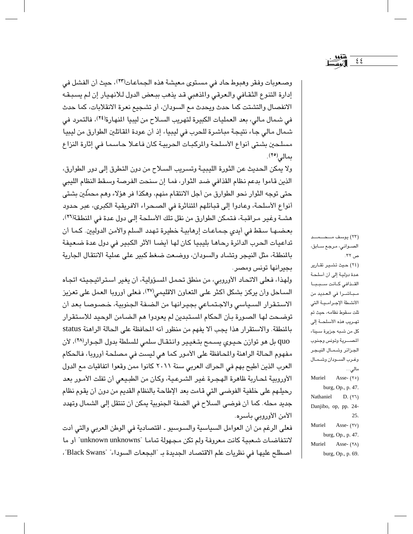وصعوبات وفقر وهبوط حاد في مستوى معيشة هذه الجماعات(٢٣)، حيث أن الفشل في إدارة التنوع الثقافي والعرقي والمذهبي قد يذهب ببعض الدول للانهيار إن لم يسبقه الانفصال والتشتت كما حدث ويحدث مع السودان، أو تشجيع نعرة الانقلابات، كما حدث في شمال مالي، بعد العمليات الكبيرة لتهريب السلاح من ليبيا النهارة(٢٤)، فالتمرد في شمال مالي جاء نتيجة مباشرة للحرب في ليبيا، إذ أن عودة المقاتلين الطوارق من ليبيا مسلحين بشتى أنواع الأسلحة والركبات الحربية كان فاعلا حاسما في إثارة النزاع ىمالى(٢٥).

ولا يمكن الحديث عن الثورة الليبية وتسريب السلاح من دون التطرق إلى دور الطوارق، الذين قاموا بدعم نظام القذافي ضد الثوار، فما إن سنحت الفرصة وسقط النظام الليبي حتى توجه الثوار نحو الطوارق من أجل الانتقام منهم، وهكذا فر هؤلاء وهم محمِّلين بشتى أنواع الأسلحة، وعادوا إلى قبائلهم المتناثرة في الصحراء الافريقية الكبرى، عبر حدود هشـة وغير مـراقبـة، فتمكن الطوارق من نقل تلك الأسلحة إلى دول عدة في المنطقة(٢٦). بعضها سقط في أيدي جماعات إرهابية خطيرة تهدد السلم والأمن الدوليين. كما أن تداعيات الحرب الدائرة رحاها بليبيا كان لها أيضا الأثر الكبير في دول عدة ضعيفة بالمنطقة، مثل النيجر وتشاد والسودان، ووضعت ضغط كبير على عملية الانتقال الجارية بجيرانها تونس ومصر.

ولهذا، فعلى الاتحاد الأوروبي، من منطق تحمل المسؤولية، أن يغير استراتيجيته اتجاه السـاحل وأن يركز بشكل أكثر علـى التعـاون الاقليمي(٢٧)، فـعلـى أوروبا العمل علـى تعزيز الاستقرار السياسي والاجتماعي بجيرانها من الضفة الجنوبية، خصوصا بعد أن توضـحت لها الصـورة بـأن الـحكام المستبدين لم يعودوا هم الـضـامن الوحيد للاسـتقرار بالنطقة. والاستقرار هذا يجب ألا يفهم من منظور أنه المحافظة على الحالة الراهنة status quo بل هو توازن حيوي يسـمـع بتـغيـير وانـتقـال سلمي للسلطة بدول الجـوار(٢٨)، لأن مفهوم الحالة الراهنة والمحافظة على الأمور كما هي ليست في مصلحة أوروبا، فالحكام العرب الذين أطيح بهم في الحراك العربي سنة ٢٠١١ كانوا ممن وقعوا اتفاقيات مع الدول الأوروبية لمصاربة ظاهرة الهجرة غير الشرعية، وكان من الطبيعي أن تفلت الأمور بعد رحيلهم على خلفية الفوضى التي قامت بعد الإطاحة بالنظام القديم من دون أن يقوم نظام جديد محله. كما أن فوضى السلاح في الضفة الجنوبية يمكن أن تنتقل إلى الشمال وتهدد الأمن الأوروبي بأسره.

فعلى الرغم من أن العوامل السياسية والسوسيو ـ اقتصادية في الوطن العربي والتي أدت لانتفاضات شعبية كانت معروفة ولم تكن مجهولة تماما "unknown unknowns" أو ما اصطلح عليها في نظريات علم الاقتصاد الجديدة بـ "البجعات السوداء" "Black Swans"،

الصــوانـي، مـرجـع ســابق، ص ٣٢. (٢٤) حيث تشير تقارير عدة دولية إلى أن أسلحة القذافي كانت سبببا مباشرا في العديد من الأنشطة الإجرامية التى تلت سقوط نظامه، حيث تم تهريب هذه الأسلحــة إلى كل من شـبـه جزيرة سـيناء المصرية وتونس وجنوب الجزائر وشمال النيجر وغرب السودان وشمال مالي... Asse- $(50)$ Muriel burg, Op., p. 47. Nathaniel  $D. (Y1)$ Danjibo, op, pp. 24-25. Muriel Asse- $(YV)$ burg, Op., p. 47. Muriel Asse- (٢٨) burg, Op., p. 69.

 $\xi$ <br> $\xi$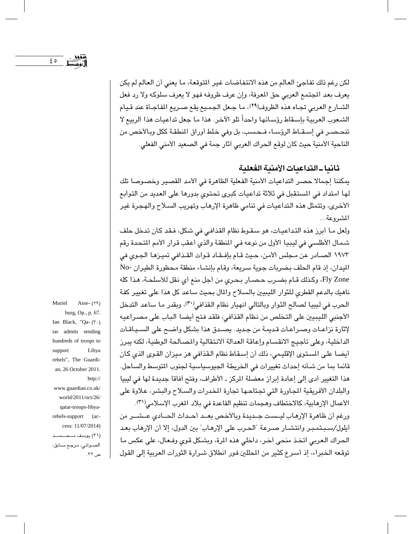لكن رغم ذلك تفاجئ العالم من هذه الانتفاضات غير المتوقعة، ما يعني أن العالم لم يكن يعرف بعد المجتمع العربي حق المعرفة، وإن عرف ظروفه فهو لا يعرف سلوكه ولا رد فعل الشـارع العربي تجـاه هذه الظروف(٢٩)، ما جـعل الجميع يقع صـريع الفـاجـأة عند قـيام الشعوب العربية بإسقاط رؤسائها واحداً تلو الآخر. هذا ما جعل تداعيات هذا الربيع لا تنحصر في إسقاط الرؤساء فـحسب، بل وفي خلط أوراق المنطقة ككل وبالأخص من الناحية الأمنية حيث كان لوقع الحراك العربي أثار جمة في الصعيد الأمني الفعلي.

ثانيا ـ التداعيات الأمنية الفعلية

يمكننا إجمالا حصر التداعيات الأمنية الفعلية الظاهرة في الأمد القصير وخصوصا تلك لها امتداد في المستقبل في ثلاثة تداعيات كبرى تحتوى بدورها على العديد من التوابع الأخرى، وتتمثل هذه التداعيات في تنامي ظاهرة الإرهاب وتهريب السلاح والهجرة غير المشر وعة...

ولعل ما أبرز هذه التداعيات، هو سقوط نظام القذافي في شكل، فقد كان تدخل حلف شمال الأطلسي في ليبيا الأول من نوعه في المنطقة والذي أعقب قرار الأمم المتحدة رقم ١٩٧٣ الصـادر عن مـجلس الأمن، حـيث قـام بإفـقـاد قـوات القـذافي تميـزهـا الـجـوى في الليدان، إذ قام الحلف بضربات جوية سريعة، وقام بإنشاء منطقة محظورة الطيران -No Fly Zone، وكذلك قـام بضـرب حـصـار بـحرى من أجل منع أي نـقل للأسلحـة، هـذا كله ناميك بالدعم القطرى للثوار الليبيين بالسلاح والمال بحيث ساعد كل هذا على تغيير كفة الحرب في ليبيا لصالح الثوار وبالتالي انهيار نظام القذافي(٣٠)، وبقدر ما ساعد التدخل الأجنبي الليبيين على التخلص من نظام القذافي، فلقد فتح أيضا الباب على مصراعيه لإثارة نزاعـات وصـراعـات قـديمـة من جـديد . يصــدق هذا بشكل واضــح على الســيـاقـات الداخلية، وعلى تأجيج الانقسام وإعاقة العدالة الانتقالية والمصالحة الوطنية، لكنه يبرز أيضا على المستوى الإقليمي، ذلك أن إسقاط نظام القذافي هز ميزان القوى الذي كان قائما بما من شئنه إحداث تغييرات في الخريطة الجيوسياسية لجنوب المتوسط والساحل. هذا التغيير أدى إلى إعادة إبراز معضلة المركز ـ الأطراف، وفتح أفاقا جديدة لها في ليبيا والبلدان الأفريقية المجاورة التي تجتاحها تجارة المخدرات والسلاح والبشر، علاوة على الأعمال الإرهابية، كالاختطاف وهجمات تنظيم القاعدة في بلاد المغرب الإسلامي(٣١).

ورغم أن ظاهرة الإرهاب ليست جـديدة وبالأخص بعـد أحـداث الحـادي عـشــر من أيلول/سببتمبر وانتشـار صـرعة "الـصرب على الإرهـاب" بين الدول، إلا أن الإرهاب بعـد الحراك العربي اتخذ منحي آخر، داخلي هذه المرة، وبشكل قوى وفـعال، على عكس ما توقعه الخبراء، إذ أسرع كثير من المطلين فور انطلاق شرارة الثورات العربية إلى القول

Muriel Asse- (٢٩) burg, Op., p. 67. Ian Black, "Qa- $(\tau \cdot)$ tar admits sending hundreds of troops to support Libya rebels", The Guardian, 26 October 2011. http:// www.guardian.co.uk/ world/2011/oct/26/ qatar-troops-libyarebels-support (access: 11/07/2014) (٣١) يوسف ملك عليه الصــوانـي، مـرجـع ســابق، ص ٣٢.

 $\epsilon$  o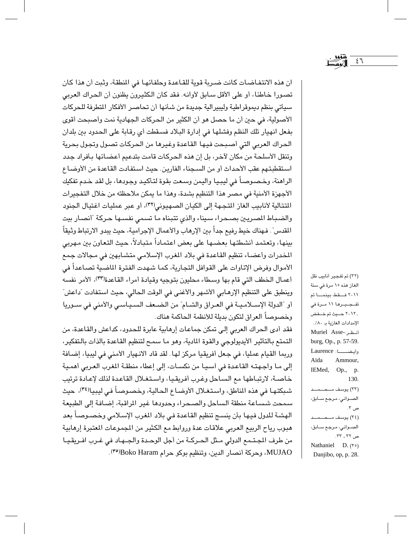ان هذه الانتفاضات كانت ضربة قوية للقاعدة وحلفائها في المنطقة، وثبت أن هذا كان تصورا خاطئًا، أو على الأقل سابق لأوانه. فقد كان الكثيرون يظنون أن الحراك العربي سيأتي بنظم ديموقراطية وليبيرالية جديدة من شأنها أن تحاصر الأفكار المطرفة للحركات الأصولية، في حين أن ما حصل هو أن الكثير من الحركات الجهادية نمت وأصبحت أقوى بفعل انهيار تلك النظم وفشلها في إدارة البلاد فسقطت أي رقابة على الحدود بين بلدان الحراك العربي التي أصبحت فيها القاعدة وغيرها من الحركات تصول وتجول بحرية وتنقل الأسلحة من مكان لآخر، بل إن هذه الحركات قامت بتدعيم أعضائها بأفراد جدد استقطبتهم عقب الأحداث أو من السجناء الفارين. حيث استفادت القاعدة من الأوضاع الراهنة، وخصىوصـاً في ليبـيـا واليمن وسـعت بقوة لتـأكيـد وجـودهـا، بل لقد خـدم تفكيك الأجهزة الأمنية في مصر هذا التنظيم بشدة، وهذا ما يمكن ملاحظته من خلال التفجيرات المتتالية لأنابيب الغاز المتجهة إلى الكيان الصهيوني(٣٢)، أو عبر عمليات اغتيال الجنود والضباط الصريين بصحراء سيناء والذى تتبناه ما تسمى نفسها حركة "أنصار بيت المقدس". فـهناك خيط رفيـم جداً بـين الإرهـاب والأعـمـال الإجراميـة، حيث يبدو الارتباط وثيقاً بينها، وتعتمد أنشطتها بعضها على بعض اعتماداً متبادلاً، حيث التعاون بين مهربي المخدرات وأعضباء تنظيم القاعدة في بلاد المغرب الإسلامي متشابهين في مجالات جمع الأموال وفرض الإتاوات على القوافل التجارية، كما شهدت الفترة الماضية تصاعداً في أعمال الخطف التي قام بها وسطاء محليون بتوجيه وقيادة أمراء القاعدة(٣٣)، الأمر نفسه وينطبق على التنظيم الإرهـابي الأشـهر والأغنـي في الوقت الـحالي، حيث استفادت "داعش" أو "الدولة الإسـلامـيـة في العـراق والشـام" من الضـعف السـيـاسـي والأمنى في سـوريا وخصوصاً العراق لتكون بديلة للأنظمة الحاكمة هناك.

فقد أدى الحراك العربي إلى تمكن جماعات إرهابية عابرة للحدود، كداعش والقاعدة، من التمتع بالتأثير الأيديولوجي والقوة المادية، وهو ما سمح لتنظيم القاعدة بالذات بالتفكير، وربما القيام عمليا، في جعل أفريقيا مركز لها. لقد قاد الانهيار الأمني في ليبيا، إضافة إلى ما واجهته القاعدة في أسيا من نكسات، إلى إعطاء منطقة المغرب العربي أهمية خاصة، لارتباطها مع الساحل وغرب أفريقيا، واستغلال القاعدة لذلك لإعادة ترتيب شبكتها في هذه المناطق، واستغلال الأوضاع الحالية، وخصوصاً في ليبيالِّه")، حيث سمحت شساعة منطقة الساحل والصحراء وحدودها غير الراقبة، إضافة إلى الطبيعة الهشة للدول فيها بأن ينسج تنظيم القاعدة في بلاد المغرب الإسلامي وخصىوصاً بعد هبوب رياح الربيع العربي علاقات عدة وروابط مع الكثير من المجوعات المعتبرة إرهابية من طرف المجتمع الدولي مثل الحركة من أجل الوحدة والجـهـاد في غـرب افـريقيـا MUJAO، وحركة أنصار الدين، وتنظيم بوكو حرام Boko Haram(°\*).

الغاز هذه ١٥ مرة في سنة ٢٠١١ فقط، بينما تم تفـجـيـرها ١١ مـرة في , ۲۰۱۲ حــیث تم خــفض الإمدادات الغازية بـ ٨٠٪. أنظر:-Muriel Asse burg, Op., p. 57-59. وأيضــــا: Laurence Aïda Ammour, IEMed, Op., p. 130. الصــوانـي، مـرجـع ســابق، ص ۲. الصــوانـي، مـرجـع ســابق، ص ۲۲ ـ ۲۳. Nathaniel D. (\*o) Danjibo, op, p. 28.

(٣٢) تم تفجير أنابيب نقل

٤٦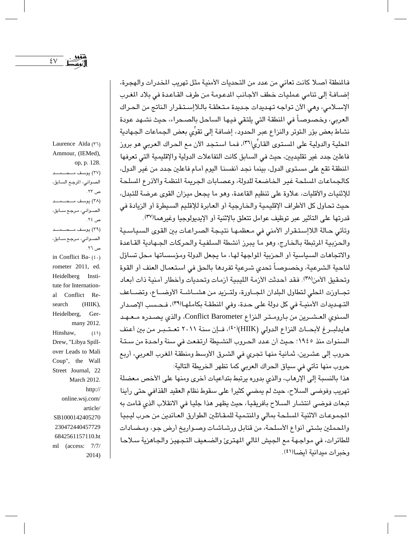$\mathop{\rm \mathsf{\Sigma}}\nolimits\mathop{\rm \mathsf{V}}\nolimits$ 

فالمنطقة أصلا كانت تعانى من عدد من التحديات الأمنية مثل تهريب المخدرات والهجرة، إضبافة إلى تنامى عمليات خطف الأجانب الدعومة من طرف القاعدة في بلاد المغرب الإسلامي، وهي الآن تواجه تهديدات جديدة متعلقة باللاإستقرار الناتج من الحراك العربي، وخصوصاً في المنطقة التي يلتقي فيها الساحل بالصحراء، حيث نشهد عودة نشاط بعض بؤر التوتر والنزاع عبر الحدود، إضافة إلى تقوِّي بعض الجماعات الجهادية المحلية والدولية على المستوى القارِّي(٣٦)، فما استجد الآن مع الحراك العربي هو بروز فاعلين جدد غير تقليديين، حيث في السابق كانت التفاعلات الدولية والإقليمية التي تعرفها المنطقة تقع على مستوى الدول، بينما نجد أنفسنا اليوم أمام فاعلين جدد من غير الدول، كالجماعات السلحة غير الخاضعة للدولة، وعصابات الجريمة المنظمة والأذرع السلحة للإثنيات والأقليات، علاوة على تنظيم القاعدة، وهو ما يجعل ميزان القوى عرضة للتبدل، حيث تحاول كل الأطراف الإقليمية والخارجية أو العابرة للإقليم السيطرة أو الزيادة في قدرتها على التأثير عبر توظيف عوامل تتعلق بالإثنية أو الإيديولوجيا وغيرهما(٣٧).

وتأتى حالة اللاإستقرار الأمنى في معظمها نتيجة الصراعات بين القوى السياسية والحزبية الرتبطة بالخارج، وهو ما يبرز أنشطة السلفية والحركات الجـهادية القـاعدة والاتجاهات السياسية أو الحزبية المواجهة لها، ما يجعل الدولة ومؤسساتها محل تساؤل لناحية الشرعية، وخصوصاً تحدي شرعية تفردها بالحق في استعمال العنف أو القوة وتحقيق الأمن(٣٨). فقد أحدثت الأزمة الليبية أزمات وتحدبات وأخطار أمنية ذات أبعاد تجاوزت المطى لتطاول البلدان الجاورة، ولتـزيد من هشـاشـة الأوضـاع، وتضـاعف التهديدات الأمنيـة في كل دولة على حدة، وفي المنطقـة بكاملهـا(٣٩)، فـحـسب الإصـدار السنوي العشـرين من بارومـتر النزاع Conflict Barometer، والذي يصـدره مـعـهـد هايدلبـرغ لأبحـاث النزاع الدولي (HIIK)(٤٠)، فـإن سنة ٢٠١١ تعـتـبـر من بين أعنف السنوات منذ ١٩٤٥؛ حيث أن عدد الحروب النشيطة ارتفعت في سنة واحدة من ستة حروب إلى عشرين، ثمانية منها تجري في الشرق الأوسط ومنطقة المغرب العربي، أربع حروب منها تأتي في سياق الحراك العربي كما تظهر الخريطة التالية:

هذا بالنسبة إلى الإرهاب، والذى بدوره يرتبط بتداعيات أخرى ومنها على الأخص معضلة تهريب وفوضى السلاح، حيث لم يمضى كثيرا على سقوط نظام العقيد القذافي حتى رأينا تبعات فوضى انتشار السلاح بأفريقيا، حيث يظهر هذا جليا في الانقلاب الذي قامت به الجموعات الاثنية السلحة بمالى والمنتمية للمقاتلين الطوارق العائدين من حرب ليبيا والمحملين بشتى أنواع الأسلحة، من قنابل ورشاشات وصىواريخ أرض جو، ومضادات للطائرات، في مواجهة مع الجيش المالي المهترئ والضعيف التجهيز والجاهزية سلاحا وخبرات ميدانية أيضا(٤١).

Laurence Aïda (٣٦) Ammour, (IEMed), op, p. 128. (٣٧) يوسف ملك عليه الصوانى، المرجع السابق، ص ۲۳ . (٣٨) يوسف مـــحـــمـــد الصــوانـي، مـرجـع ســابق، ص ٢٤. الصــوانـي، مـرجـع ســابق، ص ٢٦ . in Conflict Ba- $(2 \cdot)$ rometer 2011, ed. Heidelberg Institute for International Conflict Research  $(HIIK),$ Heidelberg, Germany 2012. Hinshaw,  $(5)$ Drew, "Libya Spillover Leads to Mali Coup", the Wall Street Journal, 22 March 2012. http:// online.wsj.com/ article/ SB1000142405270 230472440457729 6842561157110.ht ml (access: 7/7/ 2014)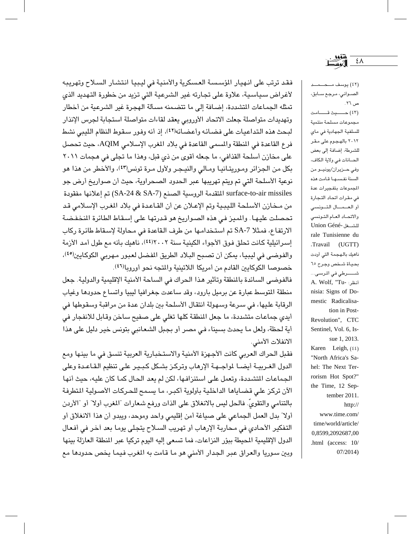فقد ترتب على انهيار الؤسسة العسكرية والأمنية في ليبيا انتشار السلاح وتهريبه لأغراض سياسية، علاوة على تجارته غير الشرعية التي تزيد من خطورة التهديد الذي تمثَّله الجماعات المتشددة، إضافة إلى ما تتضمنه مسألة الهجرة غير الشرعية من أخطار وتهديدات متواصلة جعلت الاتحاد الأوروبي يعقد لقاءات متواصلة استجابة لجرس الإنذار لبحث هذه التداعيات على فضائه وأعضائه(٤٢)، إذ أنه وفور سقوط النظام الليبي نشط فرع القاعدة في المنطقة والمسمى القاعدة في بلاد المغرب الإسلامي AQIM، حيث تحصل على مخازن أسلحة القذافي، ما جعله أقوى من ذي قبل، وهذا ما تجلى في هجمات ٢٠١١ بكل من الجزائر وموريتانيا ومالي والنيجر ولأول مرة تونس(٤٣)، والأخطر من هذا هو نوعية الأسلحة التي تم ويتم تهريبها عبر الحدود الصحراوية، حيث أن صواريخ أرض جو surface-to-air missiles المتقدمة الروسية الصنع (SA-24 & SA-7) تم إعلانها مفقودة من مـخازن الأسلحة الليبية وتم الإعـلان عن أن القـاعدة في بلاد المغرب الإسـلامي قـد تحصلت عليها. والميز في هذه الصواريخ هو قدرتها على إسقاط الطائرة النخفضة الارتفاع، فمثلا SA-7 تم استخدامها من طرف القاعدة في محاولة لإسقاط طائرة ركاب إسرائيلية كانت تحلق فوق الأجواء الكينية سنة ٢٠٠٢(٤٤)، ناهيك بأنه مع طول أمد الأزمة والفوضى في ليبيا، يمكن أن تصبح البلاد الطريق المفضل لعبور مهربي الكوكايين<sup>(٤)</sup>، خصوصا الكوكايين القادم من أمريكا اللاتينية والمتجه نحو أوروبالالم).

فالفوضى السائدة بالمنطقة وتأثير هذا الحراك في الساحة الأمنية الإقليمية والدولية. جعل منطقة المتوسط عبارة عن برميل بارود، وقد ساعدت جغرافيا ليبيا واتساع حدودها وغياب الرقابة عليها، في سرعة وسهولة انتقال الأسلحة بين بلدان عدة من مراقبة وسقوطها في أيدي جماعات متشددة، ما جعل المنطقة كلها تغلي على صفيح ساخن وقابل للانفجار في أية لحظة، ولعل ما يحدث بسيناء في مصر أو بجبل الشعانبي بتونس خير دليل على هذا الانفلات الأمني.

فقبل الحراك العربي كانت الأجهزة الأمنية والاستخبارية العربية تنسق في ما بينها ومع الدول الغـربيــة أيضــا لمواجــهـة الإرهاب وتركـز بشـكل كـبـيـر علـى تنظيم الـقـاعــدة وعلى الجماعات المتشددة، وتعمل على استنزافها، لكن لم يعد الحال كما كان عليه، حيث أنها الآن تركز على قضاياها الداخلية بأولوية أكبر، ما يسمح للحركات الأصولية المتطرفة بالتنامي والتقويِّ. فالحل ليس بالانغلاق على الذات ورفع شعارات "المغرب أولا" أو "الأردن أولا" بدل العمل الجماعي على صياغة أمن إقليمي واحد وموحد، ويبدو أن هذا الانغلاق أو التفكير الأحادي في محاربة الإرهاب أو تهريب السلاح يتجلى يوما بعد أخر في أفعال الدول الإقليمية المحيطة ببؤر النزاعات، فما تسعى إليه اليوم تركيا عبر المنطقة العازلة بينها وبين سوريا والعراق عبر الجدار الأمنى هو ما قامت به المغرب فيما يخص حدودها مع

الصــوانى، مـرجـع ســابق، ص ٢٦. (٤٢) حسيث قسامت مجموعات مسلحة منتمية للسلفية الجهادية في ماي ۲۰۱۲ بالهجوم علی مقر للشرطة، إضافة إلى بعض الحسانات في ولاية الكاف، وفي حـزيران/يونيـو من السنة نفسها قامت هذه المموعات بتفجيرات عدة في مقرات اتحاد التجارة أو العهال التونسي والاتحاد العام التونسي Union Géné- للشفل rale Tunisienne du Travail (UGTT) ناهيك بالهجمة التي أودت بحياة شخص وجرح ٦٥ شــــــــرطي في المرسـى... A. Wolf, "Tu- أنظر: nisia: Signs of Domestic Radicalisation in Post-Revolution", CTC Sentinel, Vol. 6, Issue 1, 2013. Karen Leigh, (٤٤) "North Africa's Sahel: The Next Terrorism Hot Spot?" the Time, 12 September 2011. http:// www.time.com/ time/world/article/ 0,8599,2092687,00 .html (access: 10/  $07/2014$ 

٤٨ الگوتسا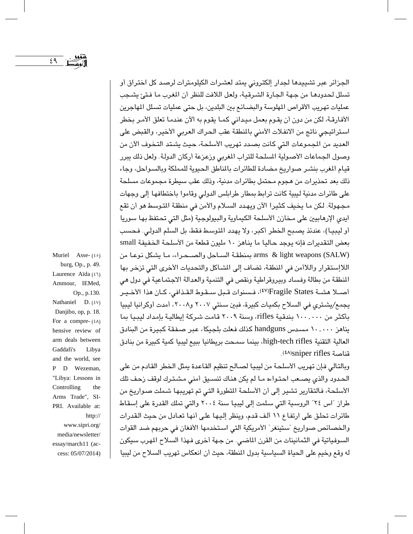الجزائر عبر تشييدها لجدار إلكتروني يمتد لعشرات الكيلومترات لرصد كل اختراق أو تسلل لحدودهـا من جـهـة الـجـارة الشـرقيـة، ولعل اللافت للنظر أن المغرب مـا فـتـئ يشـجب عمليات تهريب الأقراص المهلوسة والبضـائـع بين البلدين، بل حتى عمليات تسـلل المهاجرين الأفارقـة، لكن من دون أن يقـوم بعمل ميداني كمـا يقوم به الآن عندمـا تعلق الأمـر بخطر استراتيجي ناتج من الانفلات الأمنى بالمنطقة عقب الحراك العربي الأخير، والقبض على العديد من الجموعات التي كانت بصدد تهريب الأسلحة، حيث يشتد التخوف الآن من وصول الجماعات الأصولية المسلحة للتراب المغربي وزعزعة أركان الدولة. ولعل ذلك يبرر قيام المغرب بنشر صواريخ مضادة للطائرات بالمناطق الحيوية للمملكة وبالسواحل، وجاء ذلك بعد تحذيرات من هجوم محتمل بطائرات مدنية، وذلك عقب سيطرة مجموعات مسلحة على طائرات مدنية ليبية كانت ترابط بمطار طرابلس الدولي وقاموا باختطافها إلى وجهات مجهولة. لكن ما يخيف كثيرا الآن ويهدد السلام والأمن في منطقة المتوسط هو أن تقع ايدي الإرهابيين على مخازن الأسلحة الكيماوية والبيولوجية (مثل التي تحتفظ بها سوريا أو ليبيـا)، عندئذ يصبح الخطر أكبر، ولا يهدد التوسط فقط، بل السلم الدولي. فحسب بعض التقديرات فإنه يوجد حاليا ما يناهز ١٠ مليون قطعة من الأسلحة الخفيفة small arms & light weapons (SALW) بمنطقة الساحل والصـحراء، ما يشكل نوعا من اللاإستقرار واللاأمن في المنطقة، تضاف إلى الشاكل والتحديات الأخرى التي تزخر بها المنطقة من بطالة وفساد وبيروقراطية ونقص في التنمية والعدالة الاجتماعية في دول هي أصـلا هشـة Fragile States('٤٧)، فـسنوات قـبل سـقـوط القـذافي، كـان هذا الأخـيـر بجمع/بشتري في السلاح بكميات كبيرة، فين سنتي ٢٠٠٧ و٢٠٠٨، أمدت أوكرانيا ليبيا بِأَكْثَرِ من ١٠٠,٠٠٠ بِندقية rifles، وسنة ٢٠٠٩ قامت شركة إيطالية بإمداد ليبيا بما يناهز ١٠, ١٠, مسدس handguns كذلك فعلت بلجيكا، عبر صفقة كبيرة من البنادق العالية التقنية high-tech rifles، بينما سمحت بريطانيا ببيع ليبيا كمية كبيرة من بنادق قناصة sniper rifles).

وبالتالي فإن تهريب الأسلحة من ليبيا لصـالـح تنظيم القـاعدة يمثل الـخطر القـادم من علي الحدود والذي يصـعب احتـواءه مـا لم يكن هناك تنسـيق أمنى مـشـتـرك لوقف زحف تلك الأسلحة، فالتقارير تشير إلى أن الأسلحة المتطورة التي تم تهريبها شملت صواريخ من طراز "اس ٢٤" الروسية التي سلمت إلى ليبيا سنة ٢٠٠٤ والتي تملك القدرة على إسقاط طائرات تحلق على ارتفاع ١١ ألف قدم، وينظر إليها على أنها تعادل من حيث القدرات والخصائص صواريخ "ستينغر" الأمريكية التي استخدمها الأفغان في حربهم ضد القوات السوفياتية في الثمانينات من القرن الماضي. من جـهة أخرى فـهذا السـلاح المهرب سيكون له وقع وخيم على الحياة السياسية بدول المنطقة، حيث أن انعكاس تهريب السلاح من ليبيا

burg, Op., p. 49. Laurence Aïda (٤٦) Ammour, IEMed, Op., p.130. Nathaniel D.  $(8V)$ Danjibo, op, p. 18. For a compre- $(2\lambda)$ hensive review of arm deals between Gaddafi's Libya and the world, see P D Wezeman, "Libya: Lessons in Controlling the Arms Trade", SI-PRI. Available at: http:// www.sipri.org/ media/newsletter/ essay/march11 (access: 05/07/2014)

Muriel Asse- $(20)$ 

 $29$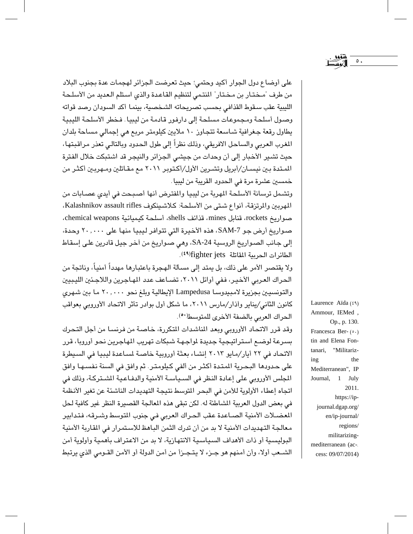على أوضاع دول الجوار أكيد وحتمى؛ حيث تعرضت الجزائر لهجمات عدة بجنوب البلاد من طرف "مـختـار بن مختار" المنتمى لتنظيم القاعدة والذي استلم العديد من الأسلحة الليبية عقب سقوط القذافي بحسب تصريحاته الشخصية، بينما أكد السودان رصد قواته وصول أسلحة ومجموعات مسلحة إلى دارفور قادمة من ليبيا. فخطر الأسلحة الليبية يطاول رقعة جغرافية شـاسـعة تتجـاوز ١٠ ملايين كيلومتر مربع هي إجمالي مسـاحة بلدان المغرب العربي والساحل الافريقي، وذلك نظراً إلى طول الحدود وبالتالي تعذر مراقبتها، حيث تشير الأخبار إلى أن وحدات من جيشي الجزائر والنيجر قد اشتبكت خلال الفترة الممتدة بين نيسـان/أبريل وتشـرين الأول/أكـتوبر ٢٠١١ مـع مقـاتلين ومـهربـين أكثـر من خمسين عشرة مرة في الحدود القريبة من ليبيا.

وتشمل ترسانة الأسلحة المهربة من ليبيا والمفترض أنها أصبحت في أيدي عصابات من المهربين والمرتزقة، أنواع شتى من الأسلحة: كلاشينكوف Kalashnikov assault rifles، صواريخ rockets، قنابل mines، قذائف shells، أسلحة كيميائية chemical weapons، صواريخ أرض جو SAM-7، مذه الأخيرة التي تتوافر ليبيا منها على ٢٠,٠٠٠ وحدة، إلى جانب الصواريخ الروسية SA-24، وهي صواريخ من آخر جيل قادرين على إسقاط الطائرات الحربية المقاتلة fighter jets:).

ولا يقتصر الأمر على ذلك، بل يمتد إلى مسألة الهجرة باعتبارها مهدداً أمنياً، وناتجة من الحراك العربي الأخير، ففي أوائل ٢٠١١، تضـاعف عدد المهـاجرين واللاجـئين الليبيين والتونسيين بجزيرة لامبيدوسا Lampedusa الإيطالية وبلغ نحو ٢٠,٠٠٠ ما بين شهرى كانون الثاني/يناير وأذار/مارس ٢٠١١، ما شكل أول بوادر تأثر الاتحاد الأوروبي بعواقب الحراك العربي بالضفة الأخرى للمتوسط(٥٠).

وقد قرر الاتحاد الأوروبي وبعد المناشدات المتكررة، خاصة من فرنسا من أجل التحرك يسرعة لوضيع استراتيجية جدبدة لواجهة شبكات تهريب الهاجرين نحو أوروبا، قرر الاتحاد في ٢٢ أيار/مايو ٢٠١٣ إنشاء بعثة أوروبية خاصة لساعدة ليبيا في السيطرة على حدودها البحرية المتدة أكثر من ألفي كيلومتر. ثم وافق في السنة نفسها وافق المجلس الأوروبي على إعادة النظر في السـياسـة الأمنية والدفـاعـية الشـتركـة، وذلك في اتجاه إعطاء الأولوية للأمن في البحر المتوسط نتيجة التهديدات الناشئة عن تغير الأنظمة في بعض الدول العربية الشاطئة له. لكن تبقى هذه المعالجة القصيرة النظر غير كافية لحل المغضلات الأمنية الصـاعدة عقب الحراك العربي في جنوب التوسط وشـرقه، فتدابير معالجة التهديدات الأمنية لا بد من أن تدرك الثمن الباهظ للاستمرار في القارية الأمنية البوليسية أو ذات الأهداف السياسية الانتهارية، لا بد من الاعتراف بأهمية وأولوية أمن الشــعب أولا، وأن أمنهم هو جـزء لا يتـجـزأ من أمن الدولة أو الأمن القــومي الذي يرتبط

Laurence Aïda (٤٩) Ammour, IEMed, Op., p. 130. Francesca Ber-(0.) tin and Elena Fontanari, "Militarizthe ing Mediterranean", IP Journal, 1 July 2011. https://ipjournal.dgap.org/ en/ip-journal/ regions/ militarizingmediterranean (access: 09/07/2014)

 $\circ$  .